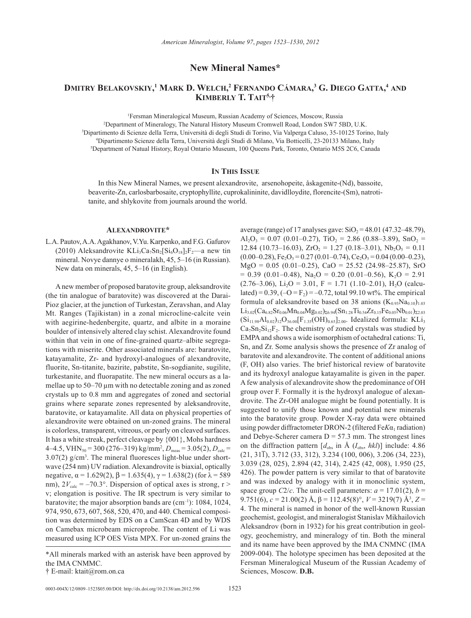**New Mineral Names\***

# **Dmitry Belakovskiy, <sup>1</sup> Mark D. Welch, 2 Fernando Cámara, 3 G. Diego Gatta, <sup>4</sup> and Kimberly T. Tait5,†**

1 Fersman Mineralogical Museum, Russian Academy of Sciences, Moscow, Russia

 Department of Mineralogy, The Natural History Museum Cromwell Road, London SW7 5BD, U.K. Dipartimento di Scienze della Terra, Università di degli Studi di Torino, Via Valperga Caluso, 35-10125 Torino, Italy Dipartimento Scienze della Terra, Università degli Studi di Milano, Via Botticelli, 23-20133 Milano, Italy Department of Natual History, Royal Ontario Museum, 100 Queens Park, Toronto, Ontario M5S 2C6, Canada

# **In This Issue**

In this New Mineral Names, we present alexandrovite, arsenohopeite, åskagenite-(Nd), bassoite, beaverite-Zn, carlosbarbosaite, cryptophyllite, cuprokalininite, davidlloydite, florencite-(Sm), natrotitanite, and shlykovite from journals around the world.

# **Alexandrovite\***

L.A. Pautov, A.A. Agakhanov, V.Yu. Karpenko, and F.G. Gafurov (2010) Aleksandrovite KLi<sub>3</sub>Ca<sub>7</sub>Sn<sub>2</sub>[Si<sub>6</sub>O<sub>18</sub>]<sub>2</sub>F<sub>2</sub>—a new tin mineral. Novye dannye o mineralakh, 45, 5–16 (in Russian). New data on minerals, 45, 5–16 (in English).

A new member of proposed baratovite group, aleksandrovite (the tin analogue of baratovite) was discovered at the Darai-Pioz glacier, at the junction of Turkestan, Zeravshan, and Alay Mt. Ranges (Tajikistan) in a zonal microcline-calcite vein with aegirine-hedenbergite, quartz, and albite in a moraine boulder of intensively altered clay schist. Alexandrovite found within that vein in one of fine-grained quartz–albite segregations with miserite. Other associated minerals are: baratovite, katayamalite, Zr- and hydroxyl-analogues of alexandrovite, fluorite, Sn-titanite, bazirite, pabstite, Sn-sogdianite, sugilite, turkestanite, and fluorapatite. The new mineral occurs as a lamellae up to 50–70 µm with no detectable zoning and as zoned crystals up to 0.8 mm and aggregates of zoned and sectorial grains where separate zones represented by aleksandrovite, baratovite, or katayamalite. All data on physical properties of alexandrovite were obtained on un-zoned grains. The mineral is colorless, transparent, vitreous, or pearly on cleaved surfaces. It has a white streak, perfect cleavage by {001}, Mohs hardness  $4-4.5$ , VHN<sub>50</sub> = 300 (276–319) kg/mm<sup>2</sup>,  $D_{\text{meas}}$  = 3.05(2),  $D_{\text{calc}}$  =  $3.07(2)$  g/cm<sup>3</sup>. The mineral fluoresces light-blue under shortwave (254 nm) UV radiation. Alexandrovite is biaxial, optically negative,  $\alpha = 1.629(2)$ ,  $\beta = 1.635(4)$ ,  $\gamma = 1.638(2)$  (for  $\lambda = 589$ ) nm),  $2V_{\text{calc}} = -70.3^{\circ}$ . Dispersion of optical axes is strong, r > v; elongation is positive. The IR spectrum is very similar to baratovite; the major absorption bands are  $(cm<sup>-1</sup>)$ : 1084, 1024, 974, 950, 673, 607, 568, 520, 470, and 440. Chemical composition was determined by EDS on a CamScan 4D and by WDS on Camebax microbeam microprobe. The content of Li was measured using ICP OES Vista MPX. For un-zoned grains the

average (range) of 17 analyses gave:  $SiO_2 = 48.01$  (47.32–48.79),  $Al_2O_3 = 0.07$  (0.01–0.27), TiO<sub>2</sub> = 2.86 (0.88–3.89), SnO<sub>2</sub> = 12.84 (10.73–16.03),  $ZrO_2 = 1.27$  (0.18–3.01),  $Nb_2O_5 = 0.11$  $(0.00-0.28)$ , Fe<sub>2</sub>O<sub>3</sub> = 0.27 (0.01–0.74), Ce<sub>2</sub>O<sub>3</sub> = 0.04 (0.00–0.23),  $MgO = 0.05$  (0.01–0.25), CaO = 25.52 (24.98–25.87), SrO  $= 0.39$  (0.01–0.48), Na<sub>2</sub>O = 0.20 (0.01–0.56), K<sub>2</sub>O = 2.91  $(2.76-3.06)$ , Li<sub>2</sub>O = 3.01, F = 1.71 (1.10–2.01), H<sub>2</sub>O (calculated) =  $0.39$ ,  $(-O = F_2) = -0.72$ , total 99.10 wt%. The empirical formula of aleksandrovite based on 38 anions  $(K_{0.93}Na_{0.10})_{1.03}$  $\textrm{Li}_{3.02}(Ca_{6.82}Sr_{0.06}Mn_{0.04}Mg_{0.02})_{\Sigma 6.94}(Sn_{1.28}Ti_{0.54}Zr_{0.15}Fe_{0.05}Nb_{0.01})_{\Sigma 2.03}$  $(Si_{11.98}Al_{0.02})_{12}O_{36.00}[F_{1.35}(OH)_{0.65}]_{2.00}$ . Idealized formula: KLi<sub>3</sub>  $Ca_7Sn_2Si_{12}F_2$ . The chemistry of zoned crystals was studied by EMPA and shows a wide isomorphism of octahedral cations: Ti, Sn, and Zr. Some analysis shows the presence of Zr analog of baratovite and alexandrovite. The content of additional anions (F, OH) also varies. The brief historical review of baratovite and its hydroxyl analogue katayamalite is given in the paper. A few analysis of alexandrovite show the predominance of OH group over F. Formally it is the hydroxyl analogue of alexandrovite. The Zr-OH analogue might be found potentially. It is suggested to unify those known and potential new minerals into the baratovite group. Powder X-ray data were obtained using powder diffractometer DRON-2 (filtered Fe*Kα*<sub>1</sub> radiation) and Debye-Scherer camera  $D = 57.3$  mm. The strongest lines on the diffraction pattern  $[d_{obs}$  in  $\AA$   $(I_{obs}, \, \text{hkl})$ ] include: 4.86  $(21, 31\overline{1})$ , 3.712 (33, 312), 3.234 (100, 006), 3.206 (34, 223), 3.039 (28, 025), 2.894 (42, 314), 2.425 (42, 008), 1.950 (25, 426). The powder pattern is very similar to that of baratovite and was indexed by analogy with it in monoclinic system, space group *C*2/*c*. The unit-cell parameters:  $a = 17.01(2)$ ,  $b =$ 9.751(6),  $c = 21.00(2)$  Å,  $β = 112.45(8)°$ ,  $V = 3219(7)$  Å<sup>3</sup>,  $Z =$ 4. The mineral is named in honor of the well-known Russian geochemist, geologist, and mineralogist Stanislav Mikhailovich Aleksandrov (born in 1932) for his great contribution in geology, geochemistry, and mineralogy of tin. Both the mineral and its name have been approved by the IMA CNMNC (IMA 2009-004). The holotype specimen has been deposited at the Fersman Mineralogical Museum of the Russian Academy of Sciences, Moscow. **D.B.**

<sup>\*</sup>All minerals marked with an asterisk have been approved by the IMA CNMMC.

<sup>†</sup> E-mail: ktait@rom.on.ca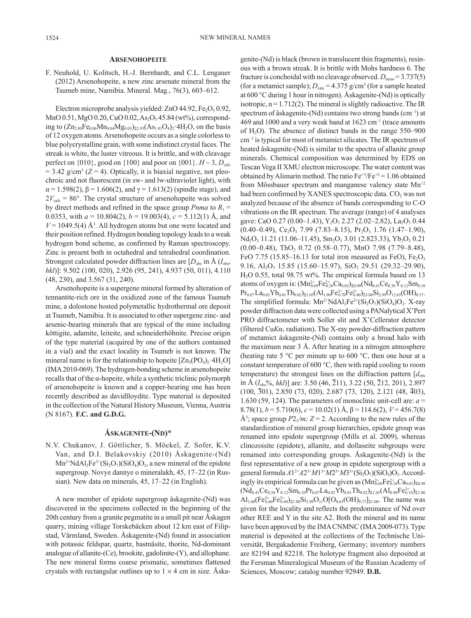# **Arsenohopeite**

F. Neuhold, U. Kolitsch, H.-J. Bernhardt, and C.L. Lengauer (2012) Arsenohopeite, a new zinc arsenate mineral from the Tsumeb mine, Namibia. Mineral. Mag., 76(3), 603–612.

Electron microprobe analysis yielded: ZnO  $44.92$ , Fe<sub>2</sub>O<sub>3</sub> 0.92, MnO 0.51, MgO 0.20, CuO 0.02, As<sub>2</sub>O<sub>5</sub> 45.84 (wt%), corresponding to  $(Zn_{2.80}Fe<sub>0.06</sub>Mn<sub>0.04</sub>Mg<sub>0.03</sub>)<sub>52.93</sub>(As<sub>1.01</sub>O<sub>4</sub>)<sub>2</sub>·4H<sub>2</sub>O, on the basis$ of 12 oxygen atoms. Arsenohopeite occurs as a single colorless to blue polycrystalline grain, with some indistinct crystal faces. The streak is white, the luster vitreous. It is brittle, and with cleavage perfect on  $\{010\}$ , good on  $\{100\}$  and poor on  $\{001\}$ .  $H \sim 3$ ,  $D_{\text{calc}}$  $=$  3.42 g/cm<sup>3</sup> ( $Z = 4$ ). Optically, it is biaxial negative, not pleochroic and not fluorescent (in sw- and lw-ultraviolet light), with  $\alpha$  = 1.598(2),  $\beta$  = 1.606(2), and  $\gamma$  = 1.613(2) (spindle stage), and  $2V_{\text{calc}}$  = 86°. The crystal structure of arsenohopeite was solved by direct methods and refined in the space group *Pnma* to  $R_1$  = 0.0353, with  $a = 10.804(2)$ ,  $b = 19.003(4)$ ,  $c = 5.112(1)$  Å, and  $V = 1049.5(4)$  Å<sup>3</sup>. All hydrogen atoms but one were located and their position refined. Hydrogen bonding topology leads to a weak hydrogen bond scheme, as confirmed by Raman spectroscopy. Zinc is present both in octahedral and tetrahedral coordination. Strongest calculated powder diffraction lines are  $[D_{obs}$  in  $\AA$  ( $I_{obs}$ ) *hkl*)]: 9.502 (100, 020), 2.926 (95, 241), 4.937 (50, 011), 4.110 (48, 230), and 3.567 (31, 240).

Arsenohopeite is a supergene mineral formed by alteration of tennantite-rich ore in the oxidized zone of the famous Tsumeb mine, a dolostone hosted polymetallic hydrothermal ore deposit at Tsumeb, Namibia. It is associated to other supergene zinc- and arsenic-bearing minerals that are typical of the mine including köttigite, adamite, leiteite, and schneiderhöhnite. Precise origin of the type material (acquired by one of the authors contained in a vial) and the exact locality in Tsumeb is not known. The mineral name is for the relationship to hopeite  $[Zn_3(PO_4)_2.4H_2O]$ (IMA 2010-069). The hydrogen-bonding scheme in arsenohopeite recalls that of the α-hopeite, while a synthetic triclinic polymorph of arsenohopeite is known and a copper-bearing one has been recently described as davidlloydite. Type material is deposited in the collection of the Natural History Museum, Vienna, Austria (N 8167). **F.C. and G.D.G.**

# **Åskagenite-(Nd)\***

N.V. Chukanov, J. Göttlicher, S. Möckel, Z. Sofer, K.V. Van, and D.I. Belakovskiy (2010) Åskagenite-(Nd)  $Mn^{2+}NdA1_2Fe^{3+}(Si_2O_7)(SiO_4)O_2$ , a new mineral of the epidote supergroup. Novye dannye o mineralakh, 45, 17–22 (in Russian). New data on minerals, 45, 17–22 (in English).

A new member of epidote supergroup åskagenite-(Nd) was discovered in the specimens collected in the beginning of the 20th century from a granite pegmatite in a small pit near Åskagen quarry, mining village Torskebäcken about 12 km east of Filipstad, Värmland, Sweden. Åskagenite-(Nd) found in association with potassic feldspar, quartz, bastnäsite, thorite, Nd-dominant analogue of allanite-(Ce), brookite, gadolinite-(Y), and allophаne. The new mineral forms coarse prismatic, sometimes flattened crystals with rectangular outlines up to  $1 \times 4$  cm in size. Åskagenite-(Nd) is black (brown in translucent thin fragments), resinous with a brown streak. It is brittle with Mohs hardness 6. The fracture is conchoidal with no cleavage observed.  $D_{\text{meas}} = 3.737(5)$ (for a metamict sample);  $D_{\text{calc}} = 4.375 \text{ g/cm}^3$  (for a sample heated at 600 °C during 1 hour in nitrogen). Åskagenite-(Nd) is optically isotropic,  $n = 1.712(2)$ . The mineral is slightly radioactive. The IR spectrum of åskagenite-(Nd) contains two strong bands (cm<sup>-1</sup>) at 469 and 1000 and a very weak band at  $1623 \text{ cm}^{-1}$  (trace amounts of  $H<sub>2</sub>O$ ). The absence of distinct bands in the range 550–900 cm–1 is typical for most of metamict silicates. The IR spectrum of heated åskagenite-(Nd) is similar to the spectra of allanite group minerals. Chemical composition was determined by EDS on Tescan Vega II XMU electron microscope. The water content was obtained by Alimarin method. The ratio  $Fe^{+3}/Fe^{+2} = 1.06$  obtained from Mössbauer spectrum and manganese valency state  $Mn^{2}$ had been confirmed by XANES spectroscopic data. CO<sub>2</sub> was not analyzed because of the absence of bands corresponding to C-O vibrations on the IR spectrum. The average (range) of 4 analyses gave: CaO 0.27 (0.00-1.43), Y<sub>2</sub>O<sub>3</sub> 2.27 (2.02-2.82), La<sub>2</sub>O<sub>3</sub> 0.44  $(0.40-0.49)$ , Ce<sub>2</sub>O<sub>3</sub> 7.99 (7.83–8.15), Pr<sub>2</sub>O<sub>3</sub> 1.76 (1.47–1.90),  $Nd<sub>2</sub>O<sub>3</sub> 11.21 (11.06–11.45), Sm<sub>2</sub>O<sub>3</sub> 3.01 (2.823.33), Yb<sub>2</sub>O<sub>3</sub> 0.21$  $(0.00-0.48)$ , ThO<sub>2</sub> 0.72  $(0.58-0.77)$ , MnO 7.98  $(7.79-8.48)$ , FeO 7.75 (15.85–16.13 for total iron measured as FeO),  $Fe<sub>2</sub>O<sub>3</sub>$ 9.16,  $Al_2O_3$  15.85 (15.60–15.97),  $SiO_2$  29.51 (29.32–29.90), H<sub>2</sub>O 0.55, total 98.75 wt%. The empirical formula based on 13 atoms of oxygen is:  $(Mn_{0.69}^{2+}Fe_{0.26}^{2+}Ca_{0.03})_{\Sigma 0.98} (Nd_{0.41}Ce_{0.30}Y_{0.12}Sm_{0.10})$  $\mathrm{Pr}_{0.07}\mathrm{La}_{0.02}\mathrm{Yb}_{0.01}\mathrm{Th}_{0.02}\mathrm{)_{\Sigma 1.05}}(\mathrm{Al}_{1.90}\mathrm{Fe}_{0.70}^{3+}\mathrm{Fe}_{0.40}^{2+})_{\Sigma 3.00}\mathrm{Si}_{2.99}\mathrm{O}_{12.63}(\mathrm{OH})_{0.37}.$ The simplified formula:  $Mn^{2+}NdAl_2Fe^{3+}(Si_2O_7)(SiO_4)O_2$ . X-ray powder diffraction data were collected using a PANalytical X'Pert PRO diffractometer with Soller slit and X'Cellerator detector (filtered Cu $K\alpha_1$  radiation). The X-ray powder-diffraction pattern of metamict åskagenite-(Nd) contains only a broad halo with the maximum near 3 Å. After heating in a nitrogen atmosphere (heating rate 5  $\degree$ C per minute up to 600  $\degree$ C, then one hour at a constant temperature of 600 °C, then with rapid cooling to room temperature) the strongest lines on the diffraction pattern  $[d_{obs}]$ in Å (*I*obs%, *hkl*)] are: 3.50 (46, 211), 3.22 (50, 212, 201), 2.897  $(100, 301)$ , 2.850  $(73, 020)$ , 2.687  $(73, 120)$ , 2.121  $(48, 403)$ , 1.630 (59, 124). The parameters of monoclinic unit-cell are:  $a =$ 8.78(1),  $b = 5.710(6)$ ,  $c = 10.02(1)$  Å,  $\beta = 114.6(2)$ ,  $V = 456.7(8)$  $\mathring{A}^3$ ; space group  $P2_1/m$ ;  $Z = 2$ . According to the new rules of the standardization of mineral group hierarchies, epidote group was renamed into epidote supergroup (Mills et al. 2009), whereas clinozoisite (epidote), allanite, and dollaseite subgroups were renamed into corresponding groups. Åskagenite-(Nd) is the first representative of a new group in epidote supergroup with a general formula  $A1^{2+}A2^{3+}M1^{3+}M2^{3+}M3^{3+}(\text{Si}_2\text{O}_7)(\text{SiO}_4)\text{O}_2$ . Accordingly its empirical formula can be given as  $(Mn_{0.69}^{2+}Fe_{0.26}^{2+}Ca_{0.03})_{\Sigma 0.98}$  $(\text{Nd}_{0.41}\text{Ce}_{0.30}\text{Y}_{0.12}\text{Sm}_{0.10}\text{Pr}_{0.07}\text{La}_{0.02}\text{Yb}_{0.01}\text{Th}_{0.02})_{\Sigma1.05}(\text{Al}_{0.90}\text{Fe}_{0.10}^{3+})_{\Sigma1.00}$  $\text{Al}_{1.00}(\text{Fe}_{0.60}^{3+}\text{Fe}_{0.40}^{2+})_{\Sigma1.00}\text{Si}_{2.99}\text{O}_{11}\text{O}[\text{O}_{0.63}(\text{OH})_{0.37}]_{\Sigma1.00}$ . The name was given for the locality and reflects the predominance of Nd over other REE and Y in the site A2. Both the mineral and its name have been approved by the IMA CNMNC (IMA 2009-073). Type material is deposited at the collections of the Technische Universität, Bergakademie Freiberg, Germany; inventory numbers are 82194 and 82218. The holotype fragment also deposited at the Fersman Mineralogical Museum of the Russian Academy of Sciences, Moscow; catalog number 92949. **D.B.**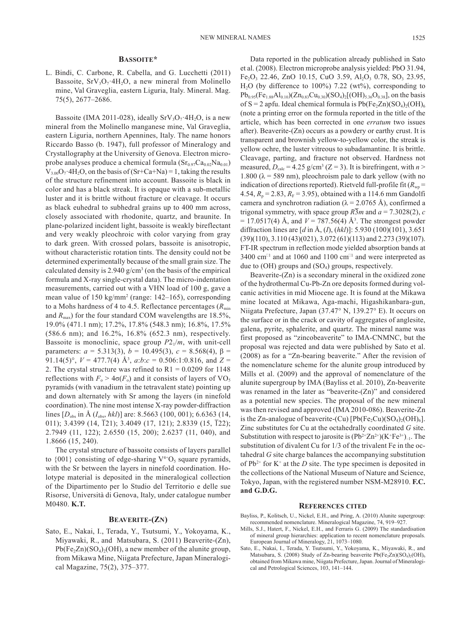# **Bassoite\***

L. Bindi, C. Carbone, R. Cabella, and G. Lucchetti (2011) Bassoite,  $SrV<sub>3</sub>O<sub>7</sub>$  4H<sub>2</sub>O, a new mineral from Molinello mine, Val Graveglia, eastern Liguria, Italy. Mineral. Mag. 75(5), 2677–2686.

Bassoite (IMA 2011-028), ideally  $SrV<sub>3</sub>O<sub>7</sub>$  4H<sub>2</sub>O, is a new mineral from the Molinello manganese mine, Val Graveglia, eastern Liguria, northern Apennines, Italy. The name honors Riccardo Basso (b. 1947), full professor of Mineralogy and Crystallography at the University of Genova. Electron microprobe analyses produce a chemical formula  $(Sr_{0.97}Ca_{0.02}Na_{0.01})$  $V_{3.00}O_7$  4H<sub>2</sub>O, on the basis of (Sr+Ca+Na) = 1, taking the results of the structure refinement into account. Bassoite is black in color and has a black streak. It is opaque with a sub-metallic luster and it is brittle without fracture or cleavage. It occurs as black euhedral to subhedral grains up to 400 mm across, closely associated with rhodonite, quartz, and braunite. In plane-polarized incident light, bassoite is weakly bireflectant and very weakly pleochroic with color varying from gray to dark green. With crossed polars, bassoite is anisotropic, without characteristic rotation tints. The density could not be determined experimentally because of the small grain size. The calculated density is  $2.940$  g/cm<sup>3</sup> (on the basis of the empirical formula and X-ray single-crystal data). The micro-indentation measurements, carried out with a VHN load of 100 g, gave a mean value of 150 kg/mm<sup>2</sup> (range: 142–165), corresponding to a Mohs hardness of 4 to 4.5. Reflectance percentages  $(R_{\min})$ and  $R_{\text{max}}$ ) for the four standard COM wavelengths are 18.5%, 19.0% (471.1 nm); 17.2%, 17.8% (548.3 nm); 16.8%, 17.5% (586.6 nm); and 16.2%, 16.8% (652.3 nm), respectively. Bassoite is monoclinic, space group  $P2_1/m$ , with unit-cell parameters:  $a = 5.313(3)$ ,  $b = 10.495(3)$ ,  $c = 8.568(4)$ , β = 91.14(5)°,  $V = 477.7(4)$  Å<sup>3</sup>,  $a:b:c = 0.506:1:0.816$ , and  $Z =$ 2. The crystal structure was refined to  $R1 = 0.0209$  for 1148 reflections with  $F_0 > 4\sigma(F_0)$  and it consists of layers of VO<sub>5</sub> pyramids (with vanadium in the tetravalent state) pointing up and down alternately with Sr among the layers (in ninefold coordination). The nine most intense X-ray powder-diffraction lines [D<sub>obs</sub> in Å (I<sub>obs</sub>, hkl)] are: 8.5663 (100, 001); 6.6363 (14, 011); 3.4399 (14, 121); 3.4049 (17, 121); 2.8339 (15, 122); 2.7949 (11, 122); 2.6550 (15, 200); 2.6237 (11, 040), and 1.8666 (15, 240).

The crystal structure of bassoite consists of layers parallel to  $\{001\}$  consisting of edge-sharing  $V^{4+}O_5$  square pyramids, with the Sr between the layers in ninefold coordination. Holotype material is deposited in the mineralogical collection of the Dipartimento per lo Studio del Territorio e delle sue Risorse, Università di Genova, Italy, under catalogue number M0480. **K.T.**

#### **Beaverite-(Zn)**

Sato, E., Nakai, I., Terada, Y., Tsutsumi, Y., Yokoyama, K., Miyawaki, R., and Matsubara, S. (2011) Beaverite-(Zn),  $Pb(Fe<sub>2</sub>Zn)(SO<sub>4</sub>)<sub>2</sub>(OH)$ , a new member of the alunite group, from Mikawa Mine, Niigata Prefecture, Japan Mineralogical Magazine, 75(2), 375–377.

Data reported in the publication already published in Sato et al. (2008). Electron microprobe analysis yielded: PbO 31.94, Fe<sub>2</sub>O<sub>3</sub> 22.46, ZnO 10.15, CuO 3.59, Al<sub>2</sub>O<sub>3</sub> 0.78, SO<sub>3</sub> 23.95,  $H<sub>2</sub>O$  (by difference to 100%) 7.22 (wt%), corresponding to  $Pb_{0.95}(Fe_{1.88}Al_{0.10})(Zn_{0.83}Cu_{0.30})(SO_4)_2[(OH)_{5.36}O_{0.38}]$ , on the basis of S = 2 apfu. Ideal chemical formula is  $Pb(Fe<sub>2</sub>Zn)(SO<sub>4</sub>)<sub>2</sub>(OH)<sub>6</sub>$ (note a printing error on the formula reported in the title of the article, which has been corrected in one *erratum* two issues after). Beaverite-(Zn) occurs as a powdery or earthy crust. It is transparent and brownish yellow-to-yellow color, the streak is yellow ochre, the luster vitreous to subadamantine. It is brittle. Cleavage, parting, and fracture not observed. Hardness not measured,  $D_{\text{calc}} = 4.25 \text{ g/cm}^3$  (Z = 3). It is birefringent, with  $n >$ 1.800 ( $\lambda$  = 589 nm), pleochroism pale to dark yellow (with no indication of directions reported). Rietveld full-profile fit  $(R_{wn} =$ 4.54,  $R_p = 2.83$ ,  $R_F = 3.95$ ), obtained with a 114.6 mm Gandolfi camera and synchrotron radiation ( $\lambda$  = 2.0765 Å), confirmed a trigonal symmetry, with space group  $R\overline{3}m$  and  $a = 7.3028(2)$ , *c*  $= 17.0517(4)$  Å, and  $V = 787.56(4)$  Å<sup>3</sup>. The strongest powder diffraction lines are [*d* in Å, (*I*), (*hkl*)]: 5.930 (100)(101), 3.651 (39)(110), 3.110 (43)(021), 3.072 (61)(113) and 2.273 (39)(107). FT-IR spectrum in reflection mode yielded absorption bands at 3400 cm<sup> $\scriptstyle\rm{11}$ </sup> and at 1060 and 1100 cm $\scriptstyle\rm{11}$  and were interpreted as due to  $(OH)$  groups and  $(SO<sub>4</sub>)$  groups, respectively.

Beaverite-(Zn) is a secondary mineral in the oxidized zone of the hydrothermal Cu-Pb-Zn ore deposits formed during volcanic activities in mid Miocene age. It is found at the Mikawa mine located at Mikawa, Aga-machi, Higashikanbara-gun, Niigata Prefecture, Japan (37.47° N, 139.27° E). It occurs on the surface or in the crack or cavity of aggregates of anglesite, galena, pyrite, sphalerite, and quartz. The mineral name was first proposed as "zincobeaverite" to IMA-CNMNC, but the proposal was rejected and data were published by Sato et al. (2008) as for a "Zn-bearing beaverite." After the revision of the nomenclature scheme for the alunite group introduced by Mills et al. (2009) and the approval of nomenclature of the alunite supergroup by IMA (Bayliss et al. 2010), Zn-beaverite was renamed in the later as "beaverite-(Zn)" and considered as a potential new species. The proposal of the new mineral was then revised and approved (IMA 2010-086). Beaverite-Zn is the Zn-analogue of beaverite-(Cu)  $[Pb(Fe<sub>2</sub>Cu)(SO<sub>4</sub>)<sub>2</sub>(OH)<sub>6</sub>].$ Zinc substitutes for Cu at the octahedrally coordinated *G* site. Substitution with respect to jarosite is  $(Pb^{2+}Zn^{2+})(K^+Fe^{3+})_{-1}$ . The substitution of divalent Cu for 1/3 of the trivalent Fe in the octahedral *G* site charge balances the accompanying substitution of  $Pb^{2+}$  for  $K^+$  at the *D* site. The type specimen is deposited in the collections of the National Museum of Nature and Science, Tokyo, Japan, with the registered number NSM-M28910. **F.C. and G.D.G.**

#### **References cited**

- Bayliss, P., Kolitsch, U., Nickel, E.H., and Pring, A. (2010) Alunite supergroup: recommended nomenclature. Mineralogical Magazine, 74, 919–927.
- Mills, S.J., Hatert, F., Nickel, E.H., and Ferraris G. (2009) The standardisation of mineral group hierarchies: application to recent nomenclature proposals. European Journal of Mineralogy, 21, 1073–1080.
- Sato, E., Nakai, I., Terada, Y. Tsutsumi, Y., Yokoyama, K., Miyawaki, R., and Matsubara, S. (2008) Study of Zn-bearing beaverite Pb(Fe<sub>2</sub>Zn)(SO<sub>4</sub>)<sub>2</sub>(OH)<sub>6</sub> obtained from Mikawa mine, Niigata Prefecture, Japan. Journal of Mineralogical and Petrological Sciences, 103, 141–144.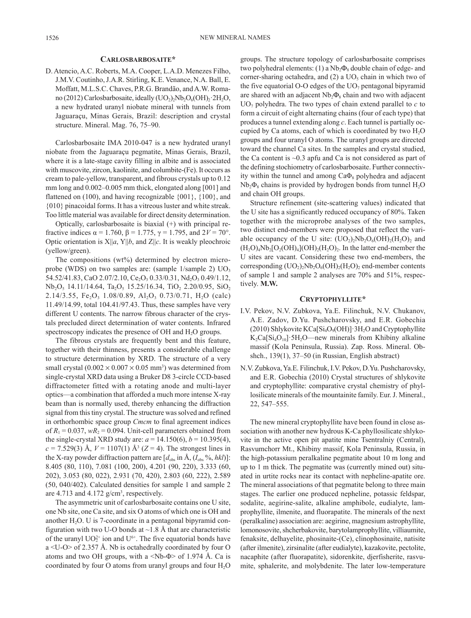#### **Carlosbarbosaite\***

D. Atencio, A.C. Roberts, M.A. Cooper, L.A.D. Menezes Filho, J.M.V. Coutinho, J.A.R. Stirling, K.E. Venance, N.A. Ball, E. Moffatt, M.L.S.C. Chaves, P.R.G. Brandão, and A.W. Romano (2012) Carlosbarbosaite, ideally  $(UO<sub>2</sub>)<sub>2</sub>Nb<sub>2</sub>O<sub>6</sub>(OH)<sub>2</sub> 2H<sub>2</sub>O$ , a new hydrated uranyl niobate mineral with tunnels from Jaguaraçu, Minas Gerais, Brazil: description and crystal structure. Mineral. Mag. 76, 75–90.

Carlosbarbosaite IMA 2010-047 is a new hydrated uranyl niobate from the Jaguaraçu pegmatite, Minas Gerais, Brazil, where it is a late-stage cavity filling in albite and is associated with muscovite, zircon, kaolinite, and columbite-(Fe). It occurs as cream to pale-yellow, transparent, and fibrous crystals up to 0.12 mm long and 0.002–0.005 mm thick, elongated along [001] and flattened on (100), and having recognizable {001}, {100}, and {010} pinacoidal forms. It has a vitreous luster and white streak. Too little material was available for direct density determination.

Optically, carlosbarbosaite is biaxial (+) with principal refractive indices α = 1.760, β = 1.775, γ = 1.795, and 2*V* = 70°. Optic orientation is  $X||a, Y||b$ , and  $Z||c$ . It is weakly pleochroic (yellow/green).

The compositions (wt%) determined by electron microprobe (WDS) on two samples are: (sample  $1$ /sample  $2$ )  $UO<sub>3</sub>$ 54.52/41.83, CaO 2.07/2.10, Ce<sub>2</sub>O<sub>3</sub> 0.33/0.31, Nd<sub>2</sub>O<sub>3</sub> 0.49/1.12,  $Nb<sub>2</sub>O<sub>5</sub>$  14.11/14.64, Ta<sub>2</sub>O<sub>5</sub> 15.25/16.34, TiO<sub>2</sub> 2.20/0.95, SiO<sub>2</sub> 2.14/3.55, Fe<sub>2</sub>O<sub>3</sub> 1.08/0.89, Al<sub>2</sub>O<sub>3</sub> 0.73/0.71, H<sub>2</sub>O (calc) 11.49/14.99, total 104.41/97.43. Thus, these samples have very different U contents. The narrow fibrous character of the crystals precluded direct determination of water contents. Infrared spectroscopy indicates the presence of OH and  $H<sub>2</sub>O$  groups.

The fibrous crystals are frequently bent and this feature, together with their thinness, presents a considerable challenge to structure determination by XRD. The structure of a very small crystal  $(0.002 \times 0.007 \times 0.05$  mm<sup>3</sup>) was determined from single-crystal XRD data using a Bruker D8 3-circle CCD-based diffractometer fitted with a rotating anode and multi-layer optics—a combination that afforded a much more intense X-ray beam than is normally used, thereby enhancing the diffraction signal from this tiny crystal. The structure was solved and refined in orthorhombic space group *Cmcm* to final agreement indices of  $R_1 = 0.037$ ,  $wR_2 = 0.094$ . Unit-cell parameters obtained from the single-crystal XRD study are:  $a = 14.150(6)$ ,  $b = 10.395(4)$ ,  $c = 7.529(3)$  Å,  $V = 1107(1)$  Å<sup>3</sup> ( $Z = 4$ ). The strongest lines in the X-ray powder diffraction pattern are  $[d_{obs}$  in  $\AA$ ,  $(I_{obs} % g, hkl)]$ : 8.405 (80, 110), 7.081 (100, 200), 4.201 (90, 220), 3.333 (60, 202), 3.053 (80, 022), 2.931 (70, 420), 2.803 (60, 222), 2.589 (50, 040/402). Calculated densities for sample 1 and sample 2 are 4.713 and 4.172  $g/cm^3$ , respectively.

The asymmetric unit of carlosbarbosaite contains one U site, one Nb site, one Ca site, and six O atoms of which one is OH and another  $H_2O$ . U is 7-coordinate in a pentagonal bipyramid configuration with two U-O bonds at  $\sim$ 1.8 Å that are characteristic of the uranyl  $UO_2^{2+}$  ion and  $U^{6+}$ . The five equatorial bonds have a <U-O> of 2.357 Å. Nb is octahedrally coordinated by four O atoms and two OH groups, with a  $\langle$ Nb-Φ $\rangle$  of 1.974 Å. Ca is coordinated by four O atoms from uranyl groups and four H<sub>2</sub>O

groups. The structure topology of carlosbarbosaite comprises two polyhedral elements: (1) a  $Nb<sub>2</sub>Φ<sub>8</sub>$  double chain of edge- and corner-sharing octahedra, and  $(2)$  a UO<sub>5</sub> chain in which two of the five equatorial O-O edges of the  $UO<sub>7</sub>$  pentagonal bipyramid are shared with an adjacent  $Nb<sub>2</sub>Φ<sub>8</sub>$  chain and two with adjacent  $UO<sub>7</sub>$  polyhedra. The two types of chain extend parallel to  $c$  to form a circuit of eight alternating chains (four of each type) that produces a tunnel extending along *c*. Each tunnel is partially occupied by Ca atoms, each of which is coordinated by two  $H_2O$ groups and four uranyl O atoms. The uranyl groups are directed toward the channel Ca sites. In the samples and crystal studied, the Ca content is  $\sim 0.3$  apfu and Ca is not considered as part of the defining stochiometry of carlosbarbosaite. Further connectivity within the tunnel and among  $Ca\Phi_8$  polyhedra and adjacent  $Nb<sub>2</sub>Φ<sub>8</sub>$  chains is provided by hydrogen bonds from tunnel  $H<sub>2</sub>O$ and chain OH groups.

Structure refinement (site-scattering values) indicated that the U site has a significantly reduced occupancy of 80%. Taken together with the microprobe analyses of the two samples, two distinct end-members were proposed that reflect the variable occupancy of the U site:  $(UO<sub>2</sub>)<sub>2</sub>Nb<sub>2</sub>O<sub>6</sub>(OH)<sub>2</sub>(H<sub>2</sub>O)<sub>2</sub>$  and  $(H_2O)_4Nb_2[O_2(OH)_4]$  $(OH)_2(H_2O)_2$ . In the latter end-member the U sites are vacant. Considering these two end-members, the corresponding  $(UO_2)_2Nb_2O_6(OH)_2(H_2O)_2$  end-member contents of sample 1 and sample 2 analyses are 70% and 51%, respectively. **M.W.**

# **Cryptophyllite\***

- I.V. Pekov, N.V. Zubkova, Ya.E. Filinchuk, N.V. Chukanov, A.E. Zadov, D.Yu. Pushcharovsky, and E.R. Gobechia (2010) Shlykovite  $KCa[Si<sub>4</sub>O<sub>9</sub>(OH)]$  3H<sub>2</sub>O and Cryptophyllite  $K_2$ Ca[Si<sub>4</sub>O<sub>10</sub>]·5H<sub>2</sub>O—new minerals from Khibiny alkaline massif (Kola Peninsula, Russia). Zap. Ross. Mineral. Obshch., 139(1), 37–50 (in Russian, English abstract)
- N.V. Zubkova, Ya.E. Filinchuk, I.V. Pekov, D.Yu. Pushcharovsky, and E.R. Gobechia (2010) Crystal structures of shlykovite and cryptophyllite: comparative crystal chemistry of phyllosilicate minerals of the mountainite family. Eur. J. Mineral., 22, 547–555.

The new mineral cryptophyllite have been found in close association with another new hydrous K-Ca phyllosilicate shlykovite in the active open pit apatite mine Tsentralniy (Central), Rasvumchorr Mt., Khibiny massif, Kola Peninsula, Russia, in the high-potassium peralkaline pegmatite about 10 m long and up to 1 m thick. The pegmatite was (currently mined out) situated in urtite rocks near its contact with nepheline-apatite ore. The mineral associations of that pegmatite belong to three main stages. The earlier one produced nepheline, potassic feldspar, sodalite, aegirine-salite, alkaline amphibole, eudialyte, lamprophyllite, ilmenite, and fluorapatite. The minerals of the next (peralkaline) association are: aegirine, magnesium astrophyllite, lomonosovite, shcherbakovite, barytolamprophyllite, villiaumite, fenaksite, delhayelite, phosinaite-(Ce), clinophosinaite, natisite (after ilmenite), zirsinalite (after eudialyte), kazakovite, pectolite, nacaphite (after fluorapatite), sidorenkite, djerfisherite, rasvumite, sphalerite, and molybdenite. The later low-temperature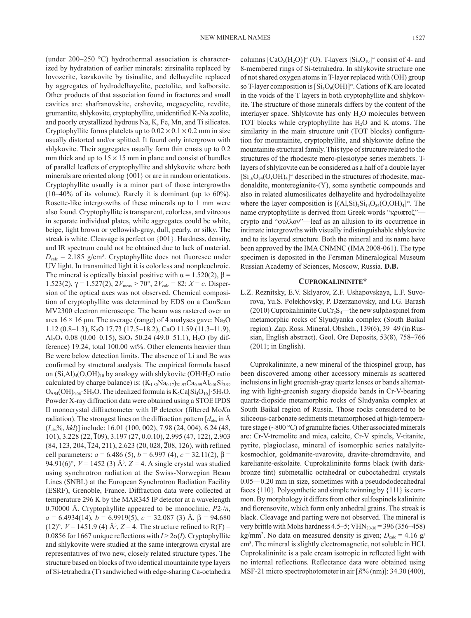(under 200–250 °C) hydrothermal association is characterized by hydratation of earlier minerals: zirsinalite replaced by lovozerite, kazakovite by tisinalite, and delhayelite replaced by aggregates of hydrodelhayelite, pectolite, and kalborsite. Other products of that association found in fractures and small cavities are: shafranovskite, ershovite, megacyclite, revdite, grumantite, shlykovite, cryptophyllite, unidentified K-Na zeolite, and poorly crystallized hydrous Na, K, Fe, Mn, and Ti silicates. Cryptophyllite forms platelets up to  $0.02 \times 0.1 \times 0.2$  mm in size usually distorted and/or splitted. It found only intergrown with shlykovite. Their aggregates usually form thin crusts up to 0.2 mm thick and up to  $15 \times 15$  mm in plane and consist of bundles of parallel leaflets of cryptophyllite and shlykovite where both minerals are oriented along {001} or are in random orientations. Cryptophyllite usually is a minor part of those intergrowths (10–40% of its volume). Rarely it is dominant (up to 60%). Rosette-like intergrowths of these minerals up to 1 mm were also found. Cryptophyllite is transparent, colorless, and vitreous in separate individual plates, while aggregates could be white, beige, light brown or yellowish-gray, dull, pearly, or silky. The streak is white. Cleavage is perfect on {001}. Hardness, density, and IR spectrum could not be obtained due to lack of material.  $D_{\text{calc}} = 2.185$  g/cm<sup>3</sup>. Cryptophyllite does not fluoresce under UV light. In transmitted light it is colorless and nonpleochroic. The mineral is optically biaxial positive with  $\alpha = 1.520(2)$ ,  $\beta =$ 1.523(2),  $\gamma = 1.527(2)$ ,  $2V_{\text{meas}} > 70^{\circ}$ ,  $2V_{\text{calc}} = 82$ ;  $X = c$ . Dispersion of the optical axes was not observed. Chemical composition of cryptophyllite was determined by EDS on a CamScan MV2300 electron microscope. The beam was rastered over an area  $16 \times 16$  μm. The average (range) of 4 analyses gave: Na<sub>2</sub>O 1.12 (0.8–1.3), K2O 17.73 (17.5–18.2), CaO 11.59 (11.3–11.9), Al<sub>2</sub>O<sub>3</sub> 0.08 (0.00–0.15), SiO<sub>2</sub> 50.24 (49.0–51.1), H<sub>2</sub>O (by difference) 19.24, total 100.00 wt%. Other elements heavier than Be were below detection limits. The absence of Li and Be was confirmed by structural analysis. The empirical formula based on  $(Si, A)_{4}(O, OH)_{10}$  by analogy with shlykovite (OH/H<sub>2</sub>O ratio calculated by charge balance) is:  $(K_{1.80}Na_{0.17})_{\Sigma1.97}Ca_{0.99}Al_{0.01}Si_{3.99}$  $O_{9.94}(OH)_{0.06}$  · 5H<sub>2</sub>O. The idealized formula is  $K_2Ca[Si_4O_{10}]$  · 5H<sub>2</sub>O. Powder X-ray diffraction data were obtained using a STOE IPDS II monocrystal diffractometer with IP detector (filtered Mo*K*α radiation). The strongest lines on the diffraction pattern  $[d_{obs}]$  in Å (*I*obs%, *hkl*)] include: 16.01 (100, 002), 7.98 (24, 004), 6.24 (48, 101), 3.228 (22, 109), 3.197 (27, 0.0.10), 2.995 (47, 122), 2.903  $(84, 123, 204, \overline{1}24, 211), 2.623$   $(20, 028, \overline{2}08, 126),$  with refined cell parameters:  $a = 6.486(5)$ ,  $b = 6.997(4)$ ,  $c = 32.11(2)$ ,  $\beta =$ 94.91(6)°,  $V = 1452$  (3) Å<sup>3</sup>,  $Z = 4$ . A single crystal was studied using synchrotron radiation at the Swiss-Norwegian Beam Lines (SNBL) at the European Synchrotron Radiation Facility (ESRF), Grenoble, France. Diffraction data were collected at temperature 296 K by the MAR345 IP detector at a wavelength 0.70000 Å. Cryptophyllite appeared to be monoclinic,  $P2_1/n$ ,  $a = 6.4934(14), b = 6.9919(5), c = 32.087(3)$  Å,  $\beta = 94.680$  $(12)^\circ$ ,  $V = 1451.9$  (4) Å<sup>3</sup>,  $Z = 4$ . The structure refined to R(F) = 0.0856 for 1667 unique reflections with *I* > 2σ(*I*). Cryptophyllite and shlykovite were studied at the same intergrown crystal are representatives of two new, closely related structure types. The structure based on blocks of two identical mountainite type layers of Si-tetrahedra (T) sandwiched with edge-sharing Ca-octahedra

columns  $[CaO<sub>5</sub>(H<sub>2</sub>O)]<sup>∞</sup> (O)$ . T-layers  $[Si<sub>4</sub>O<sub>10</sub>] <sup>∞</sup>$  consist of 4- and 8-membered rings of Si-tetrahedra. In shlykovite structure one of not shared oxygen atoms in T-layer replaced with (OH) group so T-layer composition is  $[Si_4O_9(OH)]^{\infty}$ . Cations of K are located in the voids of the T layers in both cryptophyllite and shlykovite. The structure of those minerals differs by the content of the interlayer space. Shlykovite has only H<sub>2</sub>O molecules between TOT blocks while cryptophyllite has  $H_2O$  and K atoms. The similarity in the main structure unit (TOT blocks) configuration for mountainite, cryptophyllite, and shlykovite define the mountainite structural family. This type of structure related to the structures of the rhodesite mero-plesiotype series members. Tlayers of shlykovite can be considered as a half of a double layer  $[Si_{16}O_{34}(O,OH)_4]$ <sup>∞</sup> described in the structures of rhodesite, macdonaldite, monteregianite-(Y), some synthetic compounds and also in related alumosilicates delhayelite and hydrodelhayelite where the layer composition is  $[(A1,Si)_{2}Si_{14}O_{34}(O_{14}C)_{4}]^{\infty}$ . The name cryptophyllite is derived from Greek words "κρυπτοζ" crypto and "φυλλον"—leaf as an allusion to its occurrence in intimate intergrowths with visually indistinguishable shlykovite and to its layered structure. Both the mineral and its name have been approved by the IMA CNMNC (IMA 2008-061). The type specimen is deposited in the Fersman Mineralogical Museum Russian Academy of Sciences, Moscow, Russia. **D.B.**

#### **Cuprokalininite\***

L.Z. Reznitsky, E.V. Sklyarov, Z.F. Ushapovskaya, L.F. Suvorova, Yu.S. Polekhovsky, P. Dzerzanovsky, and I.G. Barash (2010) Cuprokalininite CuCr<sub>2</sub>S<sub>4</sub>—the new sulphospinel from metamorphic rocks of Slyudyanka complex (South Baikal region). Zap. Ross. Mineral. Obshch., 139(6), 39–49 (in Russian, English abstract). Geol. Ore Deposits, 53(8), 758–766 (2011; in English).

Cuprokalininite, a new mineral of the thiospinel group, has been discovered among other accessory minerals as scattered inclusions in light greenish-gray quartz lenses or bands alternating with light-greenish sugary diopside bands in Cr-V-bearing quartz-diopside metamorphic rocks of Sludyanka complex at South Baikal region of Russia. Those rocks considered to be siliceous-carbonate sediments metamorphosed at high-temperature stage (~800 °C) of granulite facies. Other associated minerals are: Cr-V-tremolite and mica, calcite, Cr-V spinels, V-titanite, pyrite, plagioclase, mineral of isomorphic series natalyitekosmochlor, goldmanite-uvarovite, dravite-chromdravite, and karelianite-eskolaite. Cuprokalininite forms black (with darkbronze tint) submetallic octahedral or cuboctahedral crystals 0.05—0.20 mm in size, sometimes with a pseudododecahedral faces {110}. Polysynthetic and simple twinning by {111} is common. By morphology it differs from other sulfospinels kalininite and florensovite, which form only anhedral grains. The streak is black. Cleavage and parting were not observed. The mineral is very brittle with Mohs hardness  $4.5-5$ ; VHN<sub>20-30</sub> = 396 (356–458)  $kg/mm<sup>2</sup>$ . No data on measured density is given;  $D_{calc} = 4.16 g/m$ cm3 . The mineral is slightly electromagnetic, not soluble in HCl. Cuprokalininite is a pale cream isotropic in reflected light with no internal reflections. Reflectance data were obtained using MSF-21 micro spectrophotometer in air [*R*% (nm)]: 34.30 (400),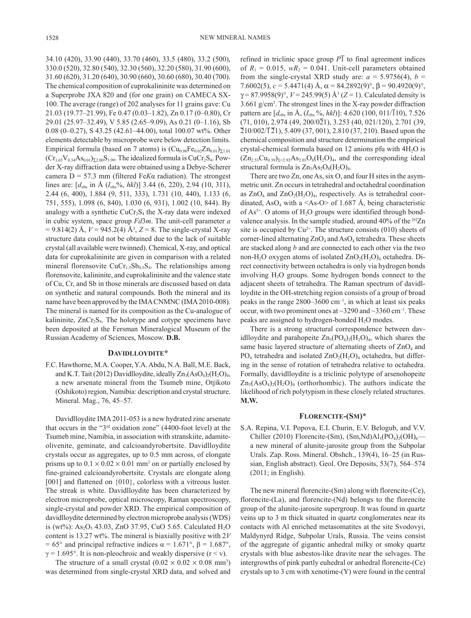34.10 (420), 33.90 (440), 33.70 (460), 33.5 (480), 33.2 (500), 330.0 (520), 32.80 (540), 32.30 (560), 32.20 (580), 31.90 (600), 31.60 (620), 31.20 (640), 30.90 (660), 30.60 (680), 30.40 (700). The chemical composition of cuprokalininite was determined on a Superprobe JXA 820 and (for one grain) on CAMECA SX-100. The average (range) of 202 analyses for 11 grains gave: Cu 21.03 (19.77–21.99), Fe 0.47 (0.03–1.82), Zn 0.17 (0–0.80), Cr 29.01 (25.97–32.49), V 5.85 (2.65–9.09), As 0.21 (0–1.16), Sb 0.08 (0–0.27), S 43.25 (42.61–44.00), total 100.07 wt%. Other elements detectable by microprobe were below detection limits. Empirical formula (based on 7 atoms) is  $(Cu_{0.98}Fe_{0.02}Zn_{0.01})_{\Sigma1.01}$  $(Cr_{1.65}V_{0.34}As_{0.01})_{\Sigma_{2.00}}S_{3.99}$ . The idealized formula is CuCr<sub>2</sub>S<sub>4</sub>. Powder X-ray diffraction data were obtained using a Debye-Scherer camera D = 57.3 mm (filtered Fe*K*α radiation). The strongest lines are:  $[d_{obs}$  in Å  $(I_{obs}\%$ , *hkl*)] 3.44 (6, 220), 2.94 (10, 311), 2.44 (6, 400), 1.884 (9, 511, 333), 1.731 (10, 440), 1.133 (6, 751, 555), 1.098 (6, 840), 1.030 (6, 931), 1.002 (10, 844). By analogy with a synthetic  $CuCr<sub>2</sub>S<sub>4</sub>$  the X-ray data were indexed in cubic system, space group *Fd*3*m*. The unit-cell parameter *a*  $= 9.814(2)$  Å,  $V = 945.2(4)$  Å<sup>3</sup>,  $Z = 8$ . The single-crystal X-ray structure data could not be obtained due to the lack of suitable crystal (all available were twinned). Chemical, X-ray, and optical data for cuprokalininite are given in comparison with a related mineral florensovite  $CuCr<sub>1.5</sub>Sb<sub>0.5</sub>S<sub>4</sub>$ . The relationships among florensovite, kalininite, and cuprokalininite and the valence state of Cu, Cr, and Sb in those minerals are discussed based on data on synthetic and natural compounds. Both the mineral and its name have been approved by the IMA CNMNC (IMA 2010-008). The mineral is named for its composition as the Cu-analogue of kalininite,  $ZnCr<sub>2</sub>S<sub>4</sub>$ . The holotype and cotype specimens have been deposited at the Fersman Mineralogical Museum of the Russian Academy of Sciences, Moscow. **D.B.**

# **Davidlloydite\***

F.C. Hawthorne, M.A. Cooper, Y.A. Abdu, N.A. Ball, M.E. Back, and K.T. Tait (2012) Davidlloydite, ideally  $\text{Zn}_3(\text{AsO}_4)_2(\text{H}_2\text{O})_4$ , a new arsenate mineral from the Tsumeb mine, Otjikoto (Oshikoto) region, Namibia: description and crystal structure. Mineral. Mag., 76, 45–57.

Davidlloydite IMA 2011-053 is a new hydrated zinc arsenate that occurs in the "3rd oxidation zone" (4400-foot level) at the Tsumeb mine, Namibia, in association with stranskiite, adamiteolivenite, geminate, and calcioandyrobertsite. Davidlloydite crystals occur as aggregates, up to 0.5 mm across, of elongate prisms up to  $0.1 \times 0.02 \times 0.01$  mm<sup>3</sup> on or partially enclosed by fine-grained calcioandyrobertsite. Crystals are elongate along [001] and flattened on  $\{010\}$ , colorless with a vitreous luster. The streak is white. Davidlloydite has been characterized by electron microprobe, optical microscopy, Raman spectroscopy, single-crystal and powder XRD. The empirical composition of davidlloydite determined by electron microprobe analysis (WDS) is (wt%):  $As_2O_5$  43.03, ZnO 37.95, CuO 5.65. Calculated H<sub>2</sub>O content is 13.27 wt%. The mineral is biaxially positive with 2*V* = 65° and principal refractive indices  $\alpha$  = 1.671°,  $\beta$  = 1.687°,  $\gamma = 1.695^{\circ}$ . It is non-pleochroic and weakly dispersive (r < v).

The structure of a small crystal  $(0.02 \times 0.02 \times 0.08 \text{ mm}^3)$ was determined from single-crystal XRD data, and solved and

refined in triclinic space group  $P\bar{1}$  to final agreement indices of  $R_1 = 0.015$ ,  $wR_2 = 0.041$ . Unit-cell parameters obtained from the single-crystal XRD study are:  $a = 5.9756(4)$ ,  $b =$ 7.6002(5),  $c = 5.4471(4)$  Å,  $\alpha = 84.2892(9)$ °,  $\beta = 90.4920(9)$ °,  $\gamma = 87.9958(9)$ °,  $V = 245.99(5)$  Å<sup>3</sup> ( $Z = 1$ ). Calculated density is 3.661 g/cm3 . The strongest lines in the X-ray powder diffraction pattern are  $[d_{obs}$  in Å,  $(I_{obs} % *hkl*)]$ : 4.620 (100, 011/110), 7.526  $(71, 010), 2.974 (49, 200/021), 3.253 (40, 021/120), 2.701 (39,$  $\overline{2}10/002/\overline{1}21$ , 5.409 (37, 001), 2.810 (37, 210). Based upon the chemical composition and structure determination the empirical crystal-chemical formula based on 12 anions pfu with  $4H<sub>2</sub>O$  is  $(Zn_{2.53}Cu_{0.39})_{\Sigma=2.92}As_{2.03}O_8(H_2O)_4$ , and the corresponding ideal structural formula is  $Zn_3As_2O_8(H_2O)_4$ .

There are two Zn, one As, six O, and four H sites in the asymmetric unit. Zn occurs in tetrahedral and octahedral coordination as  $ZnO_4$  and  $ZnO_2(H_2O)_4$ , respectively. As is tetrahedral coordinated, AsO<sub>4</sub> with a <As-O> of 1.687 Å, being characteristic of  $As<sup>5+</sup>$ . O atoms of H<sub>2</sub>O groups were identified through bondvalence analysis. In the sample studied, around 40% of the [6]Zn site is occupied by  $Cu^{2+}$ . The structure consists (010) sheets of corner-lined alternating  $ZnO_4$  and  $AsO_4$  tetrahedra. These sheets are stacked along *b* and are connected to each other via the two non-H<sub>2</sub>O oxygen atoms of isolated  $ZnO<sub>2</sub>(H<sub>2</sub>O)<sub>4</sub>$  octahedra. Direct connectivity between octahedra is only via hydrogen bonds involving H2O groups. Some hydrogen bonds connect to the adjacent sheets of tetrahedra. The Raman spectrum of davidlloydite in the OH-stretching region consists of a group of broad peaks in the range  $2800-3600$  cm<sup>-1</sup>, in which at least six peaks occur, with two prominent ones at  $\sim$ 3290 and  $\sim$ 3360 cm<sup>-1</sup>. These peaks are assigned to hydrogen-bonded  $H_2O$  modes.

There is a strong structural correspondence between davidlloydite and parahopeite  $Zn_3(PO_4)_2(H_2O)_4$ , which shares the same basic layered structure of alternating sheets of  $ZnO<sub>4</sub>$  and  $PO_4$  tetrahedra and isolated  $ZnO_2(H_2O)_4$  octahedra, but differing in the sense of rotation of tetrahedra relative to octahedra. Formally, davidlloydite is a triclinic polytype of arsenohopeite  $Zn_3(AsO_4)_2(H_2O)_4$  (orthorhombic). The authors indicate the likelihood of rich polytypism in these closely related structures. **M.W.**

# **Florencite-(Sm)\***

S.A. Repina, V.I. Popova, E.I. Churin, E.V. Belogub, and V.V. Chiller (2010) Florencite-(Sm),  $(Sm, Nd)Al<sub>3</sub>(PO<sub>4</sub>)<sub>2</sub>(OH)<sub>6</sub>$  a new mineral of alunite-jarosite group from the Subpolar Urals. Zap. Ross. Mineral. Obshch., 139(4), 16–25 (in Russian, English abstract). Geol. Ore Deposits, 53(7), 564–574 (2011; in English).

The new mineral florencite-(Sm) along with florencite-(Ce), florencite-(La), and florencite-(Nd) belongs to the florencite group of the alunite-jarosite supergroup. It was found in quartz veins up to 3 m thick situated in quartz conglomerates near its contacts with Al enriched metasomatites at the site Svodovyi, Maldynyrd Ridge, Subpolar Urals, Russia. The veins consist of the aggregate of gigantic anhedral milky or smoky quartz crystals with blue asbestos-like dravite near the selvages. The intergrowths of pink partly euhedral or anhedral florencite-(Ce) crystals up to 3 cm with xenotime-(Y) were found in the central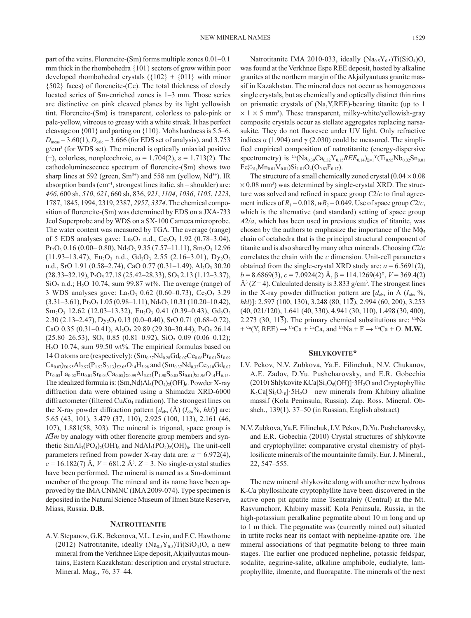part of the veins. Florencite-(Sm) forms multiple zones 0.01–0.1 mm thick in the rhombohedra {101} sectors of grow within poor developed rhombohedral crystals  $({102} + {011}$  with minor {502} faces) of florencite-(Ce). The total thickness of closely located series of Sm-enriched zones is 1–3 mm. Those series are distinctive on pink cleaved planes by its light yellowish tint. Florencite-(Sm) is transparent, colorless to pale-pink or pale-yellow, vitreous to greasy with a white streak. It has perfect cleavage on {001} and parting on {110}. Mohs hardness is 5.5–6.  $D_{\text{meas}} = 3.60(1), D_{\text{calc}} = 3.666$  (for EDS set of analysis), and 3.753 g/cm3 (for WDS set). The mineral is optically uniaxial positive (+), colorless, nonpleochroic,  $\omega = 1.704(2)$ ,  $\varepsilon = 1.713(2)$ . The cathodoluminescence spectrum of florencite-(Sm) shows two sharp lines at 592 (green,  $Sm^{3+}$ ) and 558 nm (yellow,  $Nd^{3+}$ ). IR absorption bands  $(cm^{-1},$  strongest lines italic, sh – shoulder) are: *466*, 600 sh, *510*, *621*, 660 sh, 836, *921*, *1104*, *1036*, *1105*, *1223*, 1787, 1845, 1994, 2319, 2387, *2957*, *3374*. The chemical composition of florencite-(Sm) was determined by EDS on a JXA-733 Jeol Superprobe and by WDS on a SX-100 Cameca microprobe. The water content was measured by TGA. The average (range) of 5 EDS analyses gave: La<sub>2</sub>O<sub>3</sub> n.d., Ce<sub>2</sub>O<sub>3</sub> 1.92 (0.78–3.04),  $Pr_2O_3$  0.16 (0.00–0.80),  $Nd_2O_3$  9.35 (7.57–11.11),  $Sm_2O_3$  12.96  $(11.93-13.47)$ , Eu<sub>2</sub>O<sub>3</sub> n.d., Gd<sub>2</sub>O<sub>3</sub> 2.55 (2.16–3.01), Dy<sub>2</sub>O<sub>3</sub> n.d., SrO 1.91 (0.58–2.74), CaO 0.77 (0.31–1.49), Al<sub>2</sub>O<sub>3</sub> 30.20  $(28.33-32.19), P_2O_5 27.18 (25.42-28.33), SO_3 2.13 (1.12-3.37),$ SiO<sub>2</sub> n.d.; H<sub>2</sub>O 10.74, sum 99.87 wt%. The average (range) of 3 WDS analyses gave: La<sub>2</sub>O<sub>3</sub> 0.62 (0.60–0.73), Ce<sub>2</sub>O<sub>3</sub> 3.29  $(3.31-3.61)$ , Pr<sub>2</sub>O<sub>3</sub> 1.05 (0.98–1.11), Nd<sub>2</sub>O<sub>3</sub> 10.31 (10.20–10.42),  $Sm_2O_3$  12.62 (12.03–13.32), Eu<sub>2</sub>O<sub>3</sub> 0.41 (0.39–0.43), Gd<sub>2</sub>O<sub>3</sub> 2.30 (2.13–2.47), Dy<sub>2</sub>O<sub>3</sub> 0.13 (0.0–0.40), SrO 0.71 (0.68–0.72), CaO 0.35 (0.31–0.41), Al<sub>2</sub>O<sub>3</sub> 29.89 (29.30–30.44), P<sub>2</sub>O<sub>5</sub> 26.14  $(25.80-26.53)$ , SO<sub>3</sub> 0.85  $(0.81-0.92)$ , SiO<sub>2</sub> 0.09  $(0.06-0.12)$ ; H2O 10.74, sum 99.50 wt%. The empirical formulas based on 14 O atoms are (respectively):  $(Sm_{0.37}Nd_{0.28}Gd_{0.07}Ce_{0.06}Pr_{0.01}Sr_{0.09}$  $Ca_{0.07}$ <sub> $\Sigma$ 0.95</sub>Al<sub>2.97</sub>(P<sub>1.92</sub>S<sub>0.13</sub>)<sub> $\Sigma$ 2.05</sub>O<sub>14</sub>H<sub>5.98</sub> and (Sm<sub>0.37</sub>Nd<sub>0.32</sub>Ce<sub>0.10</sub>Gd<sub>0.07</sub>  $Pr_{0.03}La_{0.02}Eu_{0.01}Sr_{0.04}Ca_{0.03}$ <sub>20.99</sub>Al<sub>3.02</sub> $(P_{1.90}S_{0.05}Si_{0.01})_{\Sigma1.96}O_{14}H_{6.15}$ . The idealized formula is:  $(Sm, Nd)Al<sub>3</sub>(PO<sub>4</sub>)<sub>2</sub>(OH)<sub>6</sub>$ . Powder X-ray diffraction data were obtained using a Shimadzu XRD-6000 diffractometer (filtered  $CuKa<sub>1</sub>$  radiation). The strongest lines on the X-ray powder diffraction pattern  $[d_{obs}(\text{Å}) (I_{obs}\%$ , *hkl*)] are: 5.65 (43, 101), 3.479 (37, 110), 2.925 (100, 113), 2.161 (46, 107), 1.881(58, 303). The mineral is trigonal, space group is  $R\overline{3}m$  by analogy with other florencite group members and synthetic  $SmAl<sub>3</sub>(PO<sub>4</sub>)<sub>2</sub>(OH)<sub>6</sub>$  and  $NdAl<sub>3</sub>(PO<sub>4</sub>)<sub>2</sub>(OH)<sub>6</sub>$ . The unit-cell parameters refined from powder X-ray data are:  $a = 6.972(4)$ ,  $c = 16.182(7)$  Å,  $V = 681.2$  Å<sup>3</sup>.  $Z = 3$ . No single-crystal studies have been performed. The mineral is named as a Sm-dominant member of the group. The mineral and its name have been approved by the IMA CNMNC (IMA 2009-074). Type specimen is deposited in the Natural Science Museum of Ilmen State Reserve, Miass, Russia. **D.B.**

# **Natrotitanite**

A.V. Stepanov, G.K. Bekenova, V.L. Levin, and F.C. Hawthorne (2012) Natrotitanite, ideally  $(Na_{0.5}Y_{0.5})Ti(SiO_4)O$ , a new mineral from the Verkhnee Espe deposit, Akjailyautas mountains, Eastern Kazakhstan: description and crystal structure. Mineral. Mag., 76, 37–44.

Natrotitanite IMA 2010-033, ideally  $(Na_{0.5}Y_{0.5})Ti(SiO_4)O$ , was found at the Verkhnee Espe REE deposit, hosted by alkaline granites at the northern margin of the Akjailyautuas granite massif in Kazakhstan. The mineral does not occur as homogeneous single crystals, but as chemically and optically distinct thin rims on prismatic crystals of (Na,Y,REE)-bearing titanite (up to 1  $\times$  1  $\times$  5 mm<sup>3</sup>). These transparent, milky-white/yellowish-gray composite crystals occur as stellate aggregates replacing narsasukite. They do not fluoresce under UV light. Only refractive indices  $\alpha$  (1.904) and  $\gamma$  (2.030) could be measured. The simplified empirical composition of natrotitanite (energy-dispersive spectrometry) is <sup>Ca</sup>(Na<sub>0.39</sub>Ca<sub>0.32</sub>Y<sub>0.15</sub>*REE*<sub>0.14</sub>)<sub> $\Sigma=1$ </sub><sup>Y</sup>(Ti<sub>0.95</sub>Nb<sub>0.02</sub>Sn<sub>0.01</sub>  $Fe^{3+}_{0.01}$ , Mn<sub>0.01</sub>V<sub>0.01</sub>)Si<sub>1.01</sub>O<sub>4</sub>(O<sub>0.83</sub>F<sub>0.17</sub>).

The structure of a small chemically zoned crystal  $(0.04 \times 0.08)$  $\times$  0.08 mm<sup>3</sup>) was determined by single-crystal XRD. The structure was solved and refined in space group *C*2/*c* to final agreement indices of  $R_1 = 0.018$ ,  $wR_2 = 0.049$ . Use of space group  $C2/c$ , which is the alternative (and standard) setting of space group *A*2/*a*, which has been used in previous studies of titanite, was chosen by the authors to emphasize the importance of the  $M\phi_5$ chain of octahedra that is the principal structural component of titanite and is also shared by many other minerals. Choosing *C*2/*c* correlates the chain with the *c* dimension. Unit-cell parameters obtained from the single-crystal XRD study are:  $a = 6.5691(2)$ ,  $b = 8.6869(3), c = 7.0924(2)$  Å,  $\beta = 114.1269(4)^\circ$ ,  $V = 369.4(2)$  $\mathring{A}^3$  (*Z* = 4). Calculated density is 3.833 g/cm<sup>3</sup>. The strongest lines in the X-ray powder diffraction pattern are  $[d_{obs}$  in Å  $(I_{obs} \, \%),$ *hkl*)]: 2.597 (100, 130), 3.248 (80, 112), 2.994 (60, 200), 3.253 (40, 021/120), 1.641 (40, 330), 4.941 (30, 110), 1.498 (30, 400), 2.273 (30, 11 $\overline{3}$ ). The primary chemical substitutions are: <sup>Ca</sup>Na  $+ {}^{Ca}(Y, REE) \rightarrow {}^{Ca}Ca + {}^{Ca}Ca$ , and  ${}^{Ca}Na + F \rightarrow {}^{Ca}Ca + O$ . **M.W.** 

# **Shlykovite\***

- I.V. Pekov, N.V. Zubkova, Ya.E. Filinchuk, N.V. Chukanov, A.E. Zadov, D.Yu. Pushcharovsky, and E.R. Gobechia (2010) Shlykovite  $KCa[Si<sub>4</sub>O<sub>9</sub>(OH)]$  ·  $3H<sub>2</sub>O$  and Cryptophyllite  $K_2Ca[Si_4O_{10}]$  5H<sub>2</sub>O—new minerals from Khibiny alkaline massif (Kola Peninsula, Russia). Zap. Ross. Mineral. Obshch., 139(1), 37–50 (in Russian, English abstract)
- N.V. Zubkova, Ya.E. Filinchuk, I.V. Pekov, D.Yu. Pushcharovsky, and E.R. Gobechia (2010) Crystal structures of shlykovite and cryptophyllite: comparative crystal chemistry of phyllosilicate minerals of the mountainite family. Eur. J. Mineral., 22, 547–555.

The new mineral shlykovite along with another new hydrous K-Ca phyllosilicate cryptophyllite have been discovered in the active open pit apatite mine Tsentralniy (Central) at the Mt. Rasvumchorr, Khibiny massif, Kola Peninsula, Russia, in the high-potassium peralkaline pegmatite about 10 m long and up to 1 m thick. The pegmatite was (currently mined out) situated in urtite rocks near its contact with nepheline-apatite ore. The mineral associations of that pegmatite belong to three main stages. The earlier one produced nepheline, potassic feldspar, sodalite, aegirine-salite, alkaline amphibole, eudialyte, lamprophyllite, ilmenite, and fluorapatite. The minerals of the next